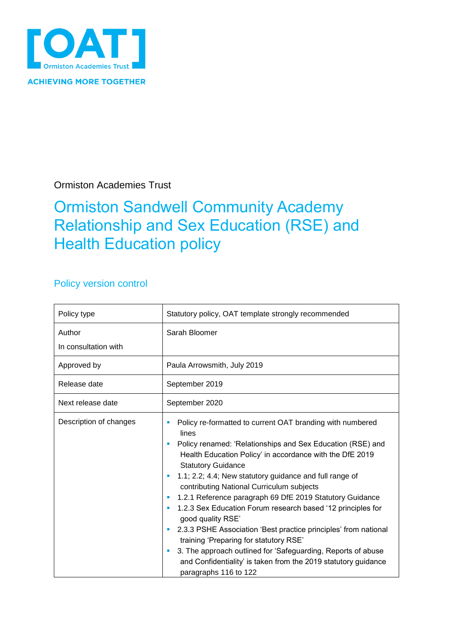

Ormiston Academies Trust

## Ormiston Sandwell Community Academy Relationship and Sex Education (RSE) and Health Education policy

### Policy version control

| Policy type                    | Statutory policy, OAT template strongly recommended                                                                                                                                                                                                                                                                                                                                                                                                                                                                                                                                                                                                                                                                                                            |  |  |
|--------------------------------|----------------------------------------------------------------------------------------------------------------------------------------------------------------------------------------------------------------------------------------------------------------------------------------------------------------------------------------------------------------------------------------------------------------------------------------------------------------------------------------------------------------------------------------------------------------------------------------------------------------------------------------------------------------------------------------------------------------------------------------------------------------|--|--|
| Author<br>In consultation with | Sarah Bloomer                                                                                                                                                                                                                                                                                                                                                                                                                                                                                                                                                                                                                                                                                                                                                  |  |  |
| Approved by                    | Paula Arrowsmith, July 2019                                                                                                                                                                                                                                                                                                                                                                                                                                                                                                                                                                                                                                                                                                                                    |  |  |
| Release date                   | September 2019                                                                                                                                                                                                                                                                                                                                                                                                                                                                                                                                                                                                                                                                                                                                                 |  |  |
| Next release date              | September 2020                                                                                                                                                                                                                                                                                                                                                                                                                                                                                                                                                                                                                                                                                                                                                 |  |  |
| Description of changes         | Policy re-formatted to current OAT branding with numbered<br>lines<br>Policy renamed: 'Relationships and Sex Education (RSE) and<br>Health Education Policy' in accordance with the DfE 2019<br><b>Statutory Guidance</b><br>1.1; 2.2; 4.4; New statutory guidance and full range of<br>contributing National Curriculum subjects<br>1.2.1 Reference paragraph 69 DfE 2019 Statutory Guidance<br>1.2.3 Sex Education Forum research based '12 principles for<br>good quality RSE'<br>2.3.3 PSHE Association 'Best practice principles' from national<br>training 'Preparing for statutory RSE'<br>3. The approach outlined for 'Safeguarding, Reports of abuse<br>ш<br>and Confidentiality' is taken from the 2019 statutory guidance<br>paragraphs 116 to 122 |  |  |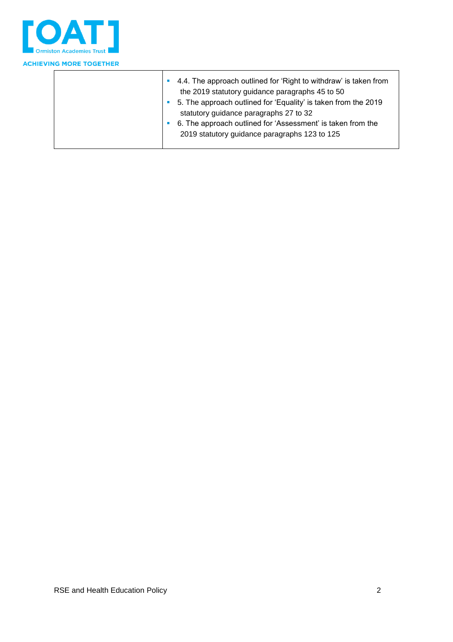

| 4.4. The approach outlined for 'Right to withdraw' is taken from<br>the 2019 statutory guidance paragraphs 45 to 50<br>5. The approach outlined for 'Equality' is taken from the 2019<br>statutory guidance paragraphs 27 to 32 |
|---------------------------------------------------------------------------------------------------------------------------------------------------------------------------------------------------------------------------------|
| 6. The approach outlined for 'Assessment' is taken from the<br>2019 statutory guidance paragraphs 123 to 125                                                                                                                    |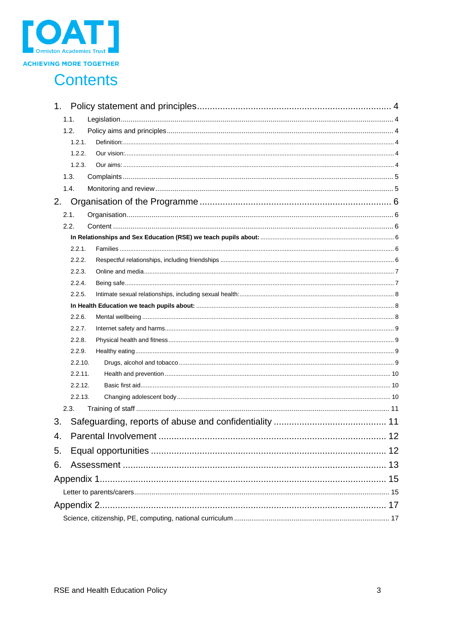

### **Contents**

| 1.      |  |
|---------|--|
| 1.1.    |  |
| 1.2.    |  |
| 1.2.1.  |  |
| 1.2.2.  |  |
| 1.2.3.  |  |
| 1.3.    |  |
| 1.4.    |  |
| 2.      |  |
| 2.1.    |  |
| 2.2.    |  |
|         |  |
| 2.2.1.  |  |
| 2.2.2.  |  |
| 2.2.3.  |  |
| 2.2.4.  |  |
| 2.2.5.  |  |
|         |  |
| 2.2.6.  |  |
| 2.2.7.  |  |
| 2.2.8.  |  |
| 2.2.9.  |  |
| 2.2.10. |  |
| 2.2.11. |  |
| 2.2.12. |  |
| 2.2.13. |  |
| 2.3.    |  |
| 3.      |  |
| 4.      |  |
| 5.      |  |
| 6.      |  |
|         |  |
|         |  |
|         |  |
|         |  |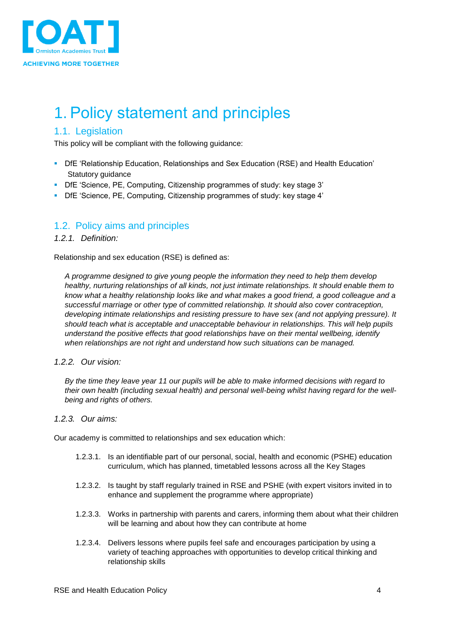

## <span id="page-3-0"></span>1. Policy statement and principles

#### <span id="page-3-1"></span>1.1. Legislation

This policy will be compliant with the following guidance:

- DfE 'Relationship Education, Relationships and Sex Education (RSE) and Health Education' Statutory guidance
- DfE 'Science, PE, Computing, Citizenship programmes of study: key stage 3'
- DfE 'Science, PE, Computing, Citizenship programmes of study: key stage 4'

#### <span id="page-3-2"></span>1.2. Policy aims and principles

#### <span id="page-3-3"></span>*1.2.1. Definition:*

Relationship and sex education (RSE) is defined as:

*A programme designed to give young people the information they need to help them develop healthy, nurturing relationships of all kinds, not just intimate relationships. It should enable them to know what a healthy relationship looks like and what makes a good friend, a good colleague and a successful marriage or other type of committed relationship. It should also cover contraception, developing intimate relationships and resisting pressure to have sex (and not applying pressure). It should teach what is acceptable and unacceptable behaviour in relationships. This will help pupils understand the positive effects that good relationships have on their mental wellbeing, identify when relationships are not right and understand how such situations can be managed.*

#### <span id="page-3-4"></span>*1.2.2. Our vision:*

*By the time they leave year 11 our pupils will be able to make informed decisions with regard to their own health (including sexual health) and personal well-being whilst having regard for the wellbeing and rights of others.*

#### <span id="page-3-5"></span>*1.2.3. Our aims:*

Our academy is committed to relationships and sex education which:

- 1.2.3.1. Is an identifiable part of our personal, social, health and economic (PSHE) education curriculum, which has planned, timetabled lessons across all the Key Stages
- 1.2.3.2. Is taught by staff regularly trained in RSE and PSHE (with expert visitors invited in to enhance and supplement the programme where appropriate)
- 1.2.3.3. Works in partnership with parents and carers, informing them about what their children will be learning and about how they can contribute at home
- 1.2.3.4. Delivers lessons where pupils feel safe and encourages participation by using a variety of teaching approaches with opportunities to develop critical thinking and relationship skills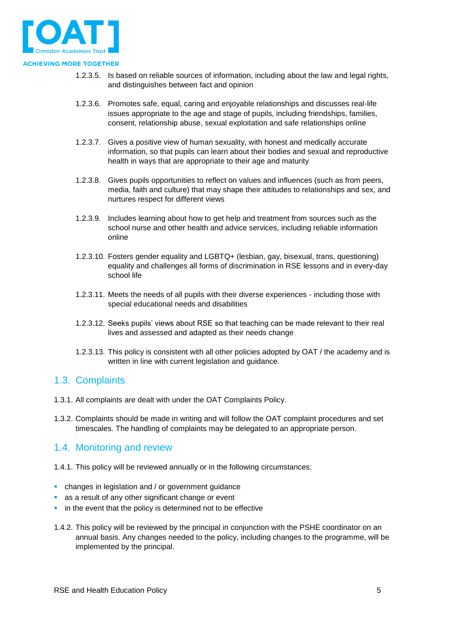

- 1.2.3.5. Is based on reliable sources of information, including about the law and legal rights, and distinguishes between fact and opinion
- 1.2.3.6. Promotes safe, equal, caring and enjoyable relationships and discusses real-life issues appropriate to the age and stage of pupils, including friendships, families, consent, relationship abuse, sexual exploitation and safe relationships online
- 1.2.3.7. Gives a positive view of human sexuality, with honest and medically accurate information, so that pupils can learn about their bodies and sexual and reproductive health in ways that are appropriate to their age and maturity
- 1.2.3.8. Gives pupils opportunities to reflect on values and influences (such as from peers, media, faith and culture) that may shape their attitudes to relationships and sex, and nurtures respect for different views
- 1.2.3.9. Includes learning about how to get help and treatment from sources such as the school nurse and other health and advice services, including reliable information online
- 1.2.3.10. Fosters gender equality and LGBTQ+ (lesbian, gay, bisexual, trans, questioning) equality and challenges all forms of discrimination in RSE lessons and in every-day school life
- 1.2.3.11. Meets the needs of all pupils with their diverse experiences including those with special educational needs and disabilities
- 1.2.3.12. Seeks pupils' views about RSE so that teaching can be made relevant to their real lives and assessed and adapted as their needs change
- 1.2.3.13. This policy is consistent with all other policies adopted by OAT / the academy and is written in line with current legislation and guidance.

#### <span id="page-4-0"></span>1.3. Complaints

- 1.3.1. All complaints are dealt with under the OAT Complaints Policy.
- 1.3.2. Complaints should be made in writing and will follow the OAT complaint procedures and set timescales. The handling of complaints may be delegated to an appropriate person.

#### <span id="page-4-1"></span>1.4. Monitoring and review

- 1.4.1. This policy will be reviewed annually or in the following circumstances:
- changes in legislation and / or government guidance
- **as a result of any other significant change or event**
- in the event that the policy is determined not to be effective
- 1.4.2. This policy will be reviewed by the principal in conjunction with the PSHE coordinator on an annual basis. Any changes needed to the policy, including changes to the programme, will be implemented by the principal.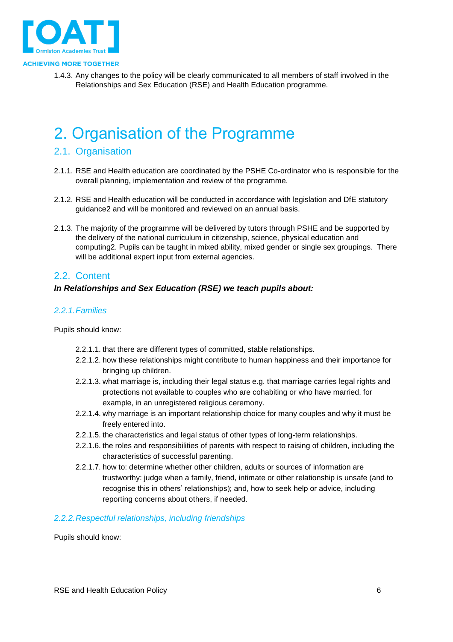

1.4.3. Any changes to the policy will be clearly communicated to all members of staff involved in the Relationships and Sex Education (RSE) and Health Education programme.

### <span id="page-5-0"></span>2. Organisation of the Programme

#### <span id="page-5-1"></span>2.1. Organisation

- 2.1.1. RSE and Health education are coordinated by the PSHE Co-ordinator who is responsible for the overall planning, implementation and review of the programme.
- 2.1.2. RSE and Health education will be conducted in accordance with legislation and DfE statutory guidance2 and will be monitored and reviewed on an annual basis.
- 2.1.3. The majority of the programme will be delivered by tutors through PSHE and be supported by the delivery of the national curriculum in citizenship, science, physical education and computing2. Pupils can be taught in mixed ability, mixed gender or single sex groupings. There will be additional expert input from external agencies.

#### <span id="page-5-2"></span>2.2. Content

#### <span id="page-5-3"></span>*In Relationships and Sex Education (RSE) we teach pupils about:*

#### <span id="page-5-4"></span>*2.2.1.Families*

Pupils should know:

- 2.2.1.1. that there are different types of committed, stable relationships.
- 2.2.1.2. how these relationships might contribute to human happiness and their importance for bringing up children.
- 2.2.1.3. what marriage is, including their legal status e.g. that marriage carries legal rights and protections not available to couples who are cohabiting or who have married, for example, in an unregistered religious ceremony.
- 2.2.1.4. why marriage is an important relationship choice for many couples and why it must be freely entered into.
- 2.2.1.5. the characteristics and legal status of other types of long-term relationships.
- 2.2.1.6. the roles and responsibilities of parents with respect to raising of children, including the characteristics of successful parenting.
- 2.2.1.7. how to: determine whether other children, adults or sources of information are trustworthy: judge when a family, friend, intimate or other relationship is unsafe (and to recognise this in others' relationships); and, how to seek help or advice, including reporting concerns about others, if needed.

#### <span id="page-5-5"></span>*2.2.2.Respectful relationships, including friendships*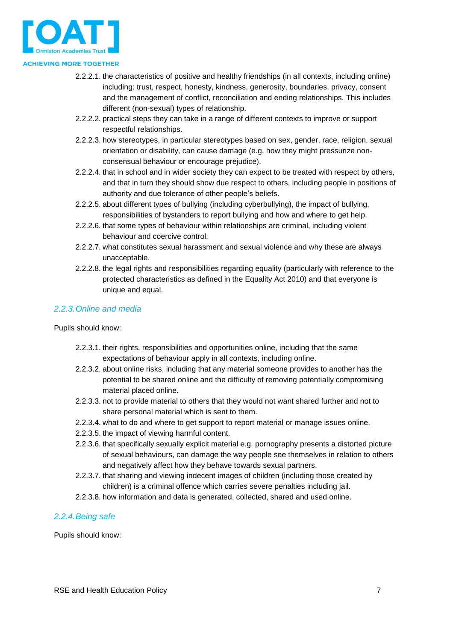

- 2.2.2.1. the characteristics of positive and healthy friendships (in all contexts, including online) including: trust, respect, honesty, kindness, generosity, boundaries, privacy, consent and the management of conflict, reconciliation and ending relationships. This includes different (non-sexual) types of relationship.
- 2.2.2.2. practical steps they can take in a range of different contexts to improve or support respectful relationships.
- 2.2.2.3. how stereotypes, in particular stereotypes based on sex, gender, race, religion, sexual orientation or disability, can cause damage (e.g. how they might pressurize nonconsensual behaviour or encourage prejudice).
- 2.2.2.4. that in school and in wider society they can expect to be treated with respect by others, and that in turn they should show due respect to others, including people in positions of authority and due tolerance of other people's beliefs.
- 2.2.2.5. about different types of bullying (including cyberbullying), the impact of bullying, responsibilities of bystanders to report bullying and how and where to get help.
- 2.2.2.6. that some types of behaviour within relationships are criminal, including violent behaviour and coercive control.
- 2.2.2.7. what constitutes sexual harassment and sexual violence and why these are always unacceptable.
- 2.2.2.8. the legal rights and responsibilities regarding equality (particularly with reference to the protected characteristics as defined in the Equality Act 2010) and that everyone is unique and equal.

#### <span id="page-6-0"></span>*2.2.3.Online and media*

Pupils should know:

- 2.2.3.1. their rights, responsibilities and opportunities online, including that the same expectations of behaviour apply in all contexts, including online.
- 2.2.3.2. about online risks, including that any material someone provides to another has the potential to be shared online and the difficulty of removing potentially compromising material placed online.
- 2.2.3.3. not to provide material to others that they would not want shared further and not to share personal material which is sent to them.
- 2.2.3.4. what to do and where to get support to report material or manage issues online.
- 2.2.3.5. the impact of viewing harmful content.
- 2.2.3.6. that specifically sexually explicit material e.g. pornography presents a distorted picture of sexual behaviours, can damage the way people see themselves in relation to others and negatively affect how they behave towards sexual partners.
- 2.2.3.7. that sharing and viewing indecent images of children (including those created by children) is a criminal offence which carries severe penalties including jail.
- 2.2.3.8. how information and data is generated, collected, shared and used online.

#### <span id="page-6-1"></span>*2.2.4.Being safe*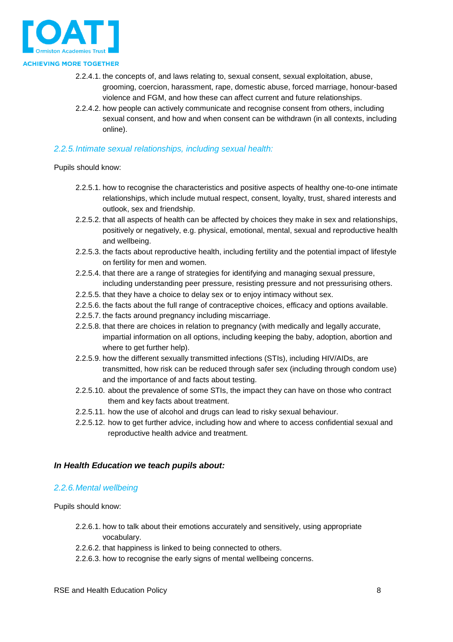

- 2.2.4.1. the concepts of, and laws relating to, sexual consent, sexual exploitation, abuse, grooming, coercion, harassment, rape, domestic abuse, forced marriage, honour-based violence and FGM, and how these can affect current and future relationships.
- 2.2.4.2. how people can actively communicate and recognise consent from others, including sexual consent, and how and when consent can be withdrawn (in all contexts, including online).

#### <span id="page-7-0"></span>*2.2.5.Intimate sexual relationships, including sexual health:*

Pupils should know:

- 2.2.5.1. how to recognise the characteristics and positive aspects of healthy one-to-one intimate relationships, which include mutual respect, consent, loyalty, trust, shared interests and outlook, sex and friendship.
- 2.2.5.2. that all aspects of health can be affected by choices they make in sex and relationships, positively or negatively, e.g. physical, emotional, mental, sexual and reproductive health and wellbeing.
- 2.2.5.3. the facts about reproductive health, including fertility and the potential impact of lifestyle on fertility for men and women.
- 2.2.5.4. that there are a range of strategies for identifying and managing sexual pressure, including understanding peer pressure, resisting pressure and not pressurising others.
- 2.2.5.5. that they have a choice to delay sex or to enjoy intimacy without sex.
- 2.2.5.6. the facts about the full range of contraceptive choices, efficacy and options available.
- 2.2.5.7. the facts around pregnancy including miscarriage.
- 2.2.5.8. that there are choices in relation to pregnancy (with medically and legally accurate, impartial information on all options, including keeping the baby, adoption, abortion and where to get further help).
- 2.2.5.9. how the different sexually transmitted infections (STIs), including HIV/AIDs, are transmitted, how risk can be reduced through safer sex (including through condom use) and the importance of and facts about testing.
- 2.2.5.10. about the prevalence of some STIs, the impact they can have on those who contract them and key facts about treatment.
- 2.2.5.11. how the use of alcohol and drugs can lead to risky sexual behaviour.
- 2.2.5.12. how to get further advice, including how and where to access confidential sexual and reproductive health advice and treatment.

#### <span id="page-7-1"></span>*In Health Education we teach pupils about:*

#### <span id="page-7-2"></span>*2.2.6.Mental wellbeing*

- 2.2.6.1. how to talk about their emotions accurately and sensitively, using appropriate vocabulary.
- 2.2.6.2. that happiness is linked to being connected to others.
- 2.2.6.3. how to recognise the early signs of mental wellbeing concerns.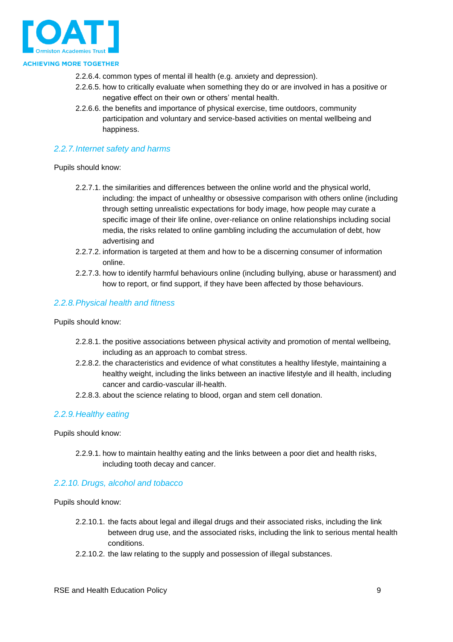

- 2.2.6.4. common types of mental ill health (e.g. anxiety and depression).
- 2.2.6.5. how to critically evaluate when something they do or are involved in has a positive or negative effect on their own or others' mental health.
- 2.2.6.6. the benefits and importance of physical exercise, time outdoors, community participation and voluntary and service-based activities on mental wellbeing and happiness.

#### <span id="page-8-0"></span>*2.2.7.Internet safety and harms*

Pupils should know:

- 2.2.7.1. the similarities and differences between the online world and the physical world, including: the impact of unhealthy or obsessive comparison with others online (including through setting unrealistic expectations for body image, how people may curate a specific image of their life online, over-reliance on online relationships including social media, the risks related to online gambling including the accumulation of debt, how advertising and
- 2.2.7.2. information is targeted at them and how to be a discerning consumer of information online.
- 2.2.7.3. how to identify harmful behaviours online (including bullying, abuse or harassment) and how to report, or find support, if they have been affected by those behaviours.

#### <span id="page-8-1"></span>*2.2.8.Physical health and fitness*

Pupils should know:

- 2.2.8.1. the positive associations between physical activity and promotion of mental wellbeing, including as an approach to combat stress.
- 2.2.8.2. the characteristics and evidence of what constitutes a healthy lifestyle, maintaining a healthy weight, including the links between an inactive lifestyle and ill health, including cancer and cardio-vascular ill-health.
- 2.2.8.3. about the science relating to blood, organ and stem cell donation.

#### <span id="page-8-2"></span>*2.2.9.Healthy eating*

Pupils should know:

2.2.9.1. how to maintain healthy eating and the links between a poor diet and health risks, including tooth decay and cancer.

#### <span id="page-8-3"></span>*2.2.10. Drugs, alcohol and tobacco*

- 2.2.10.1. the facts about legal and illegal drugs and their associated risks, including the link between drug use, and the associated risks, including the link to serious mental health conditions.
- 2.2.10.2. the law relating to the supply and possession of illegal substances.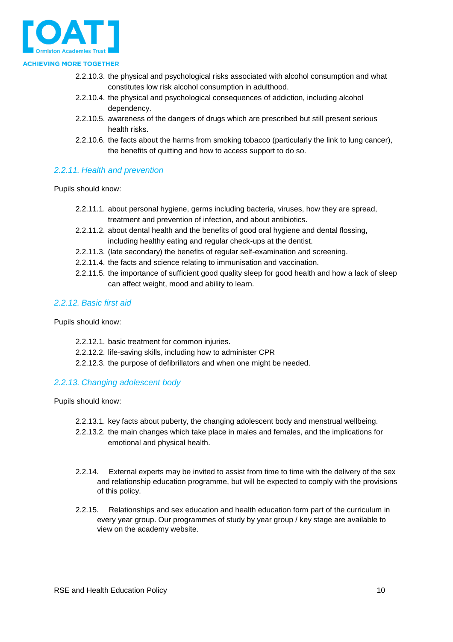

- 2.2.10.3. the physical and psychological risks associated with alcohol consumption and what constitutes low risk alcohol consumption in adulthood.
- 2.2.10.4. the physical and psychological consequences of addiction, including alcohol dependency.
- 2.2.10.5. awareness of the dangers of drugs which are prescribed but still present serious health risks.
- 2.2.10.6. the facts about the harms from smoking tobacco (particularly the link to lung cancer), the benefits of quitting and how to access support to do so.

#### <span id="page-9-0"></span>*2.2.11. Health and prevention*

Pupils should know:

- 2.2.11.1. about personal hygiene, germs including bacteria, viruses, how they are spread, treatment and prevention of infection, and about antibiotics.
- 2.2.11.2. about dental health and the benefits of good oral hygiene and dental flossing, including healthy eating and regular check-ups at the dentist.
- 2.2.11.3. (late secondary) the benefits of regular self-examination and screening.
- 2.2.11.4. the facts and science relating to immunisation and vaccination.
- 2.2.11.5. the importance of sufficient good quality sleep for good health and how a lack of sleep can affect weight, mood and ability to learn.

#### <span id="page-9-1"></span>*2.2.12. Basic first aid*

Pupils should know:

- 2.2.12.1. basic treatment for common injuries.
- 2.2.12.2. life-saving skills, including how to administer CPR
- 2.2.12.3. the purpose of defibrillators and when one might be needed.

#### <span id="page-9-2"></span>*2.2.13. Changing adolescent body*

- 2.2.13.1. key facts about puberty, the changing adolescent body and menstrual wellbeing.
- 2.2.13.2. the main changes which take place in males and females, and the implications for emotional and physical health.
- 2.2.14. External experts may be invited to assist from time to time with the delivery of the sex and relationship education programme, but will be expected to comply with the provisions of this policy.
- 2.2.15. Relationships and sex education and health education form part of the curriculum in every year group. Our programmes of study by year group / key stage are available to view on the academy website.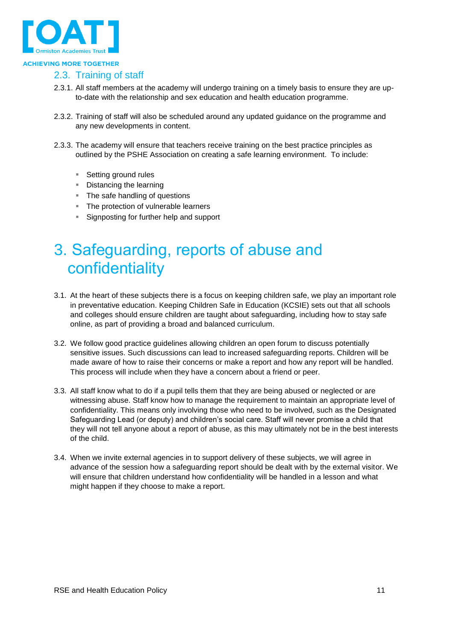

#### <span id="page-10-0"></span>2.3. Training of staff

- 2.3.1. All staff members at the academy will undergo training on a timely basis to ensure they are upto-date with the relationship and sex education and health education programme.
- 2.3.2. Training of staff will also be scheduled around any updated guidance on the programme and any new developments in content.
- 2.3.3. The academy will ensure that teachers receive training on the best practice principles as outlined by the PSHE Association on creating a safe learning environment. To include:
	- Setting ground rules
	- Distancing the learning
	- The safe handling of questions
	- **The protection of vulnerable learners**
	- Signposting for further help and support

### <span id="page-10-1"></span>3. Safeguarding, reports of abuse and confidentiality

- 3.1. At the heart of these subjects there is a focus on keeping children safe, we play an important role in preventative education. Keeping Children Safe in Education (KCSIE) sets out that all schools and colleges should ensure children are taught about safeguarding, including how to stay safe online, as part of providing a broad and balanced curriculum.
- 3.2. We follow good practice guidelines allowing children an open forum to discuss potentially sensitive issues. Such discussions can lead to increased safeguarding reports. Children will be made aware of how to raise their concerns or make a report and how any report will be handled. This process will include when they have a concern about a friend or peer.
- 3.3. All staff know what to do if a pupil tells them that they are being abused or neglected or are witnessing abuse. Staff know how to manage the requirement to maintain an appropriate level of confidentiality. This means only involving those who need to be involved, such as the Designated Safeguarding Lead (or deputy) and children's social care. Staff will never promise a child that they will not tell anyone about a report of abuse, as this may ultimately not be in the best interests of the child.
- 3.4. When we invite external agencies in to support delivery of these subjects, we will agree in advance of the session how a safeguarding report should be dealt with by the external visitor. We will ensure that children understand how confidentiality will be handled in a lesson and what might happen if they choose to make a report.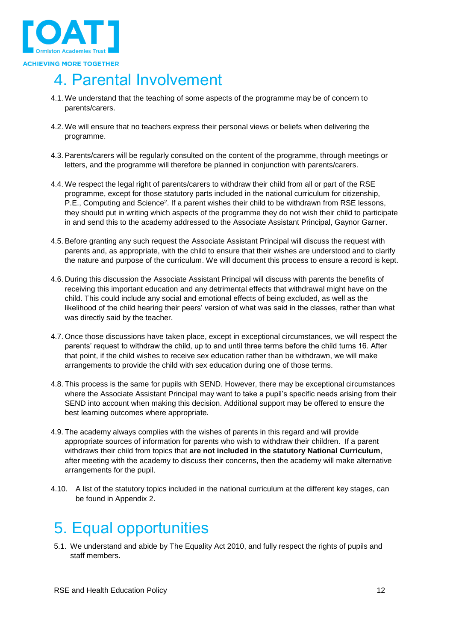

## <span id="page-11-0"></span>4. Parental Involvement

- 4.1. We understand that the teaching of some aspects of the programme may be of concern to parents/carers.
- 4.2. We will ensure that no teachers express their personal views or beliefs when delivering the programme.
- 4.3. Parents/carers will be regularly consulted on the content of the programme, through meetings or letters, and the programme will therefore be planned in conjunction with parents/carers.
- 4.4. We respect the legal right of parents/carers to withdraw their child from all or part of the RSE programme, except for those statutory parts included in the national curriculum for citizenship, P.E., Computing and Science<sup>2</sup>. If a parent wishes their child to be withdrawn from RSE lessons, they should put in writing which aspects of the programme they do not wish their child to participate in and send this to the academy addressed to the Associate Assistant Principal, Gaynor Garner.
- 4.5. Before granting any such request the Associate Assistant Principal will discuss the request with parents and, as appropriate, with the child to ensure that their wishes are understood and to clarify the nature and purpose of the curriculum. We will document this process to ensure a record is kept.
- 4.6. During this discussion the Associate Assistant Principal will discuss with parents the benefits of receiving this important education and any detrimental effects that withdrawal might have on the child. This could include any social and emotional effects of being excluded, as well as the likelihood of the child hearing their peers' version of what was said in the classes, rather than what was directly said by the teacher.
- 4.7. Once those discussions have taken place, except in exceptional circumstances, we will respect the parents' request to withdraw the child, up to and until three terms before the child turns 16. After that point, if the child wishes to receive sex education rather than be withdrawn, we will make arrangements to provide the child with sex education during one of those terms.
- 4.8. This process is the same for pupils with SEND. However, there may be exceptional circumstances where the Associate Assistant Principal may want to take a pupil's specific needs arising from their SEND into account when making this decision. Additional support may be offered to ensure the best learning outcomes where appropriate.
- 4.9. The academy always complies with the wishes of parents in this regard and will provide appropriate sources of information for parents who wish to withdraw their children. If a parent withdraws their child from topics that **are not included in the statutory National Curriculum**, after meeting with the academy to discuss their concerns, then the academy will make alternative arrangements for the pupil.
- 4.10. A list of the statutory topics included in the national curriculum at the different key stages, can be found in Appendix 2.

## <span id="page-11-1"></span>5. Equal opportunities

5.1. We understand and abide by The Equality Act 2010, and fully respect the rights of pupils and staff members.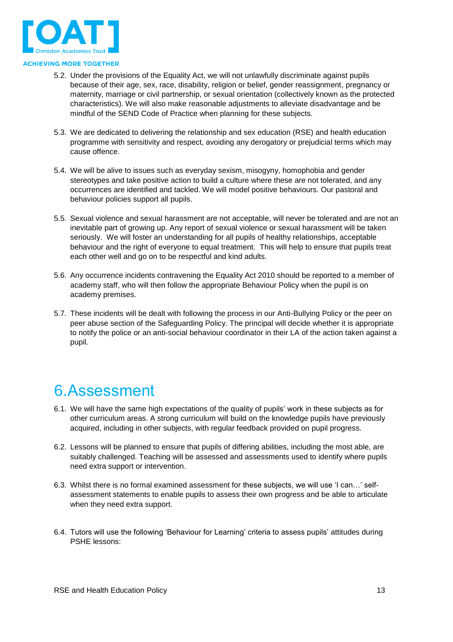

- 5.2. Under the provisions of the Equality Act, we will not unlawfully discriminate against pupils because of their age, sex, race, disability, religion or belief, gender reassignment, pregnancy or maternity, marriage or civil partnership, or sexual orientation (collectively known as the protected characteristics). We will also make reasonable adjustments to alleviate disadvantage and be mindful of the SEND Code of Practice when planning for these subjects.
- 5.3. We are dedicated to delivering the relationship and sex education (RSE) and health education programme with sensitivity and respect, avoiding any derogatory or prejudicial terms which may cause offence.
- 5.4. We will be alive to issues such as everyday sexism, misogyny, homophobia and gender stereotypes and take positive action to build a culture where these are not tolerated, and any occurrences are identified and tackled. We will model positive behaviours. Our pastoral and behaviour policies support all pupils.
- 5.5. Sexual violence and sexual harassment are not acceptable, will never be tolerated and are not an inevitable part of growing up. Any report of sexual violence or sexual harassment will be taken seriously. We will foster an understanding for all pupils of healthy relationships, acceptable behaviour and the right of everyone to equal treatment. This will help to ensure that pupils treat each other well and go on to be respectful and kind adults.
- 5.6. Any occurrence incidents contravening the Equality Act 2010 should be reported to a member of academy staff, who will then follow the appropriate Behaviour Policy when the pupil is on academy premises.
- 5.7. These incidents will be dealt with following the process in our Anti-Bullying Policy or the peer on peer abuse section of the Safeguarding Policy. The principal will decide whether it is appropriate to notify the police or an anti-social behaviour coordinator in their LA of the action taken against a pupil.

### <span id="page-12-0"></span>6.Assessment

- 6.1. We will have the same high expectations of the quality of pupils' work in these subjects as for other curriculum areas. A strong curriculum will build on the knowledge pupils have previously acquired, including in other subjects, with regular feedback provided on pupil progress.
- 6.2. Lessons will be planned to ensure that pupils of differing abilities, including the most able, are suitably challenged. Teaching will be assessed and assessments used to identify where pupils need extra support or intervention.
- 6.3. Whilst there is no formal examined assessment for these subjects, we will use 'I can…' selfassessment statements to enable pupils to assess their own progress and be able to articulate when they need extra support.
- 6.4. Tutors will use the following 'Behaviour for Learning' criteria to assess pupils' attitudes during PSHE lessons: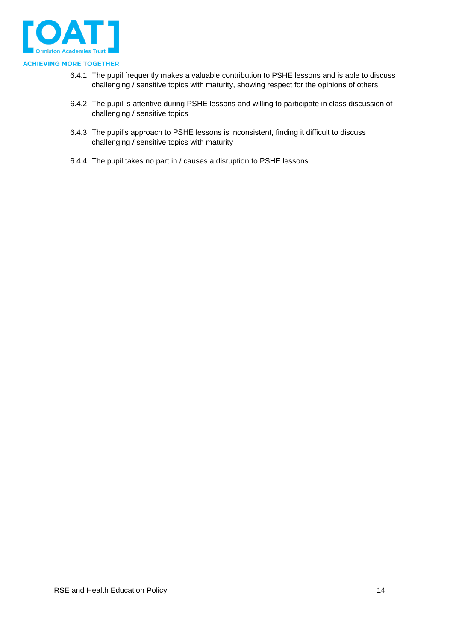

- 6.4.1. The pupil frequently makes a valuable contribution to PSHE lessons and is able to discuss challenging / sensitive topics with maturity, showing respect for the opinions of others
- 6.4.2. The pupil is attentive during PSHE lessons and willing to participate in class discussion of challenging / sensitive topics
- 6.4.3. The pupil's approach to PSHE lessons is inconsistent, finding it difficult to discuss challenging / sensitive topics with maturity
- 6.4.4. The pupil takes no part in / causes a disruption to PSHE lessons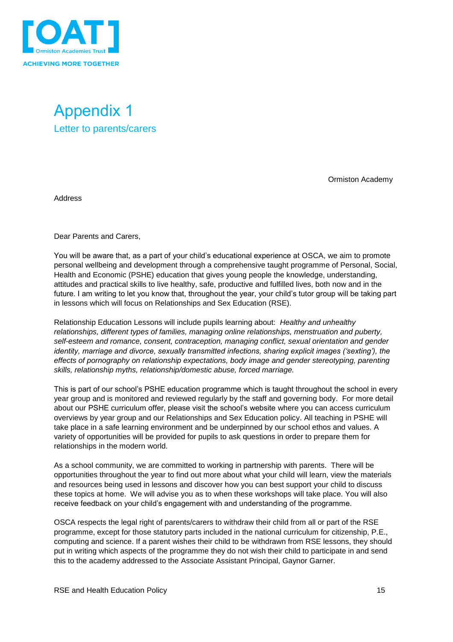

<span id="page-14-1"></span><span id="page-14-0"></span>

Ormiston Academy

**Address** 

Dear Parents and Carers,

You will be aware that, as a part of your child's educational experience at OSCA, we aim to promote personal wellbeing and development through a comprehensive taught programme of Personal, Social, Health and Economic (PSHE) education that gives young people the knowledge, understanding, attitudes and practical skills to live healthy, safe, productive and fulfilled lives, both now and in the future. I am writing to let you know that, throughout the year, your child's tutor group will be taking part in lessons which will focus on Relationships and Sex Education (RSE).

Relationship Education Lessons will include pupils learning about: *Healthy and unhealthy relationships, different types of families, managing online relationships, menstruation and puberty, self-esteem and romance, consent, contraception, managing conflict, sexual orientation and gender identity, marriage and divorce, sexually transmitted infections, sharing explicit images ('sexting'), the effects of pornography on relationship expectations, body image and gender stereotyping, parenting skills, relationship myths, relationship/domestic abuse, forced marriage.* 

This is part of our school's PSHE education programme which is taught throughout the school in every year group and is monitored and reviewed regularly by the staff and governing body. For more detail about our PSHE curriculum offer, please visit the school's website where you can access curriculum overviews by year group and our Relationships and Sex Education policy. All teaching in PSHE will take place in a safe learning environment and be underpinned by our school ethos and values. A variety of opportunities will be provided for pupils to ask questions in order to prepare them for relationships in the modern world.

As a school community, we are committed to working in partnership with parents. There will be opportunities throughout the year to find out more about what your child will learn, view the materials and resources being used in lessons and discover how you can best support your child to discuss these topics at home. We will advise you as to when these workshops will take place. You will also receive feedback on your child's engagement with and understanding of the programme.

OSCA respects the legal right of parents/carers to withdraw their child from all or part of the RSE programme, except for those statutory parts included in the national curriculum for citizenship, P.E., computing and science. If a parent wishes their child to be withdrawn from RSE lessons, they should put in writing which aspects of the programme they do not wish their child to participate in and send this to the academy addressed to the Associate Assistant Principal, Gaynor Garner.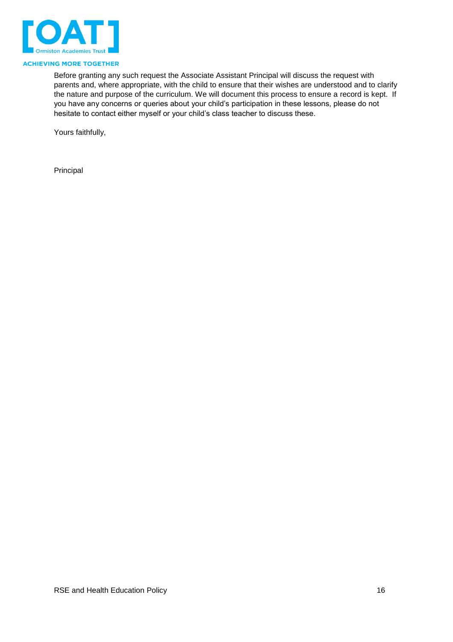

Before granting any such request the Associate Assistant Principal will discuss the request with parents and, where appropriate, with the child to ensure that their wishes are understood and to clarify the nature and purpose of the curriculum. We will document this process to ensure a record is kept. If you have any concerns or queries about your child's participation in these lessons, please do not hesitate to contact either myself or your child's class teacher to discuss these.

Yours faithfully,

Principal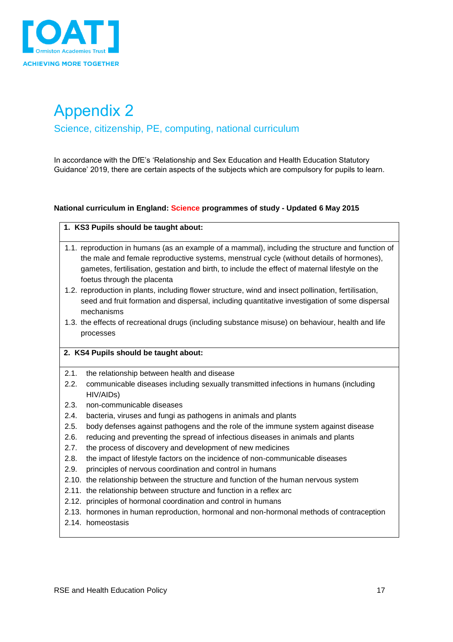

# <span id="page-16-0"></span>Appendix 2

<span id="page-16-1"></span>Science, citizenship, PE, computing, national curriculum

In accordance with the DfE's 'Relationship and Sex Education and Health Education Statutory Guidance' 2019, there are certain aspects of the subjects which are compulsory for pupils to learn.

#### **National curriculum in England: Science programmes of study - Updated 6 May 2015**

#### **1. KS3 Pupils should be taught about:**

- 1.1. reproduction in humans (as an example of a mammal), including the structure and function of the male and female reproductive systems, menstrual cycle (without details of hormones), gametes, fertilisation, gestation and birth, to include the effect of maternal lifestyle on the foetus through the placenta
- 1.2. reproduction in plants, including flower structure, wind and insect pollination, fertilisation, seed and fruit formation and dispersal, including quantitative investigation of some dispersal mechanisms
- 1.3. the effects of recreational drugs (including substance misuse) on behaviour, health and life processes

#### **2. KS4 Pupils should be taught about:**

- 2.1. the relationship between health and disease
- 2.2. communicable diseases including sexually transmitted infections in humans (including HIV/AIDs)
- 2.3. non-communicable diseases
- 2.4. bacteria, viruses and fungi as pathogens in animals and plants
- 2.5. body defenses against pathogens and the role of the immune system against disease
- 2.6. reducing and preventing the spread of infectious diseases in animals and plants
- 2.7. the process of discovery and development of new medicines
- 2.8. the impact of lifestyle factors on the incidence of non-communicable diseases
- 2.9. principles of nervous coordination and control in humans
- 2.10. the relationship between the structure and function of the human nervous system
- 2.11. the relationship between structure and function in a reflex arc
- 2.12. principles of hormonal coordination and control in humans
- 2.13. hormones in human reproduction, hormonal and non-hormonal methods of contraception
- 2.14. homeostasis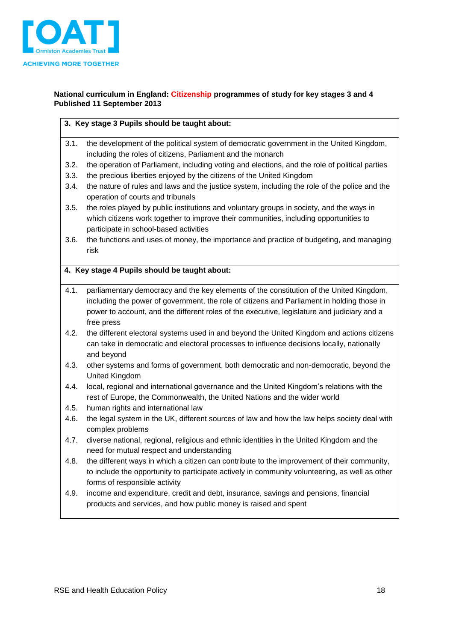

#### **National curriculum in England: Citizenship programmes of study for key stages 3 and 4 Published 11 September 2013**

#### **3. Key stage 3 Pupils should be taught about:**

- 3.1. the development of the political system of democratic government in the United Kingdom, including the roles of citizens, Parliament and the monarch
- 3.2. the operation of Parliament, including voting and elections, and the role of political parties
- 3.3. the precious liberties enjoyed by the citizens of the United Kingdom
- 3.4. the nature of rules and laws and the justice system, including the role of the police and the operation of courts and tribunals
- 3.5. the roles played by public institutions and voluntary groups in society, and the ways in which citizens work together to improve their communities, including opportunities to participate in school-based activities
- 3.6. the functions and uses of money, the importance and practice of budgeting, and managing risk

#### **4. Key stage 4 Pupils should be taught about:**

- 4.1. parliamentary democracy and the key elements of the constitution of the United Kingdom, including the power of government, the role of citizens and Parliament in holding those in power to account, and the different roles of the executive, legislature and judiciary and a free press
- 4.2. the different electoral systems used in and beyond the United Kingdom and actions citizens can take in democratic and electoral processes to influence decisions locally, nationally and beyond
- 4.3. other systems and forms of government, both democratic and non-democratic, beyond the United Kingdom
- 4.4. local, regional and international governance and the United Kingdom's relations with the rest of Europe, the Commonwealth, the United Nations and the wider world
- 4.5. human rights and international law
- 4.6. the legal system in the UK, different sources of law and how the law helps society deal with complex problems
- 4.7. diverse national, regional, religious and ethnic identities in the United Kingdom and the need for mutual respect and understanding
- 4.8. the different ways in which a citizen can contribute to the improvement of their community, to include the opportunity to participate actively in community volunteering, as well as other forms of responsible activity
- 4.9. income and expenditure, credit and debt, insurance, savings and pensions, financial products and services, and how public money is raised and spent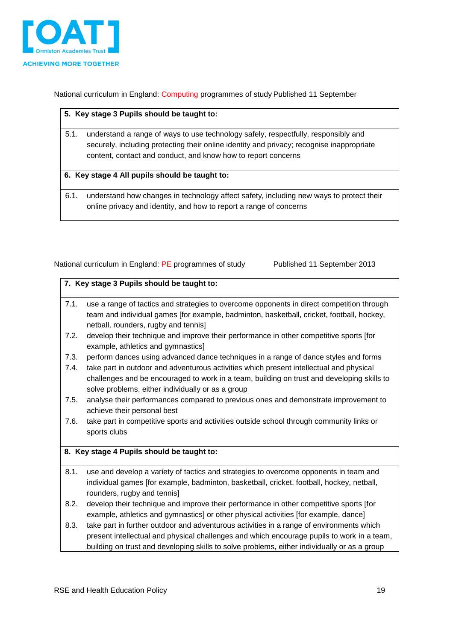

National curriculum in England: Computing programmes of study Published 11 September

#### **5. Key stage 3 Pupils should be taught to:**

5.1. understand a range of ways to use technology safely, respectfully, responsibly and securely, including protecting their online identity and privacy; recognise inappropriate content, contact and conduct, and know how to report concerns

#### **6. Key stage 4 All pupils should be taught to:**

6.1. understand how changes in technology affect safety, including new ways to protect their online privacy and identity, and how to report a range of concerns

|  |  |  | National curriculum in England: PE programmes of study |  |
|--|--|--|--------------------------------------------------------|--|
|--|--|--|--------------------------------------------------------|--|

Published 11 September 2013

|              | 7. Key stage 3 Pupils should be taught to:                                                                                                                                                                                                                                                                                        |
|--------------|-----------------------------------------------------------------------------------------------------------------------------------------------------------------------------------------------------------------------------------------------------------------------------------------------------------------------------------|
| 7.1.         | use a range of tactics and strategies to overcome opponents in direct competition through<br>team and individual games [for example, badminton, basketball, cricket, football, hockey,<br>netball, rounders, rugby and tennis]                                                                                                    |
| 7.2.         | develop their technique and improve their performance in other competitive sports [for<br>example, athletics and gymnastics]                                                                                                                                                                                                      |
| 7.3.<br>7.4. | perform dances using advanced dance techniques in a range of dance styles and forms<br>take part in outdoor and adventurous activities which present intellectual and physical<br>challenges and be encouraged to work in a team, building on trust and developing skills to<br>solve problems, either individually or as a group |
| 7.5.         | analyse their performances compared to previous ones and demonstrate improvement to<br>achieve their personal best                                                                                                                                                                                                                |
| 7.6.         | take part in competitive sports and activities outside school through community links or<br>sports clubs                                                                                                                                                                                                                          |
|              | 8. Key stage 4 Pupils should be taught to:                                                                                                                                                                                                                                                                                        |
| 8.1.         | use and develop a variety of tactics and strategies to overcome opponents in team and<br>individual games [for example, badminton, basketball, cricket, football, hockey, netball,<br>rounders, rugby and tennis]                                                                                                                 |
| 8.2.         | develop their technique and improve their performance in other competitive sports [for<br>example, athletics and gymnastics] or other physical activities [for example, dance]                                                                                                                                                    |
| 8.3.         | take part in further outdoor and adventurous activities in a range of environments which                                                                                                                                                                                                                                          |

present intellectual and physical challenges and which encourage pupils to work in a team, building on trust and developing skills to solve problems, either individually or as a group